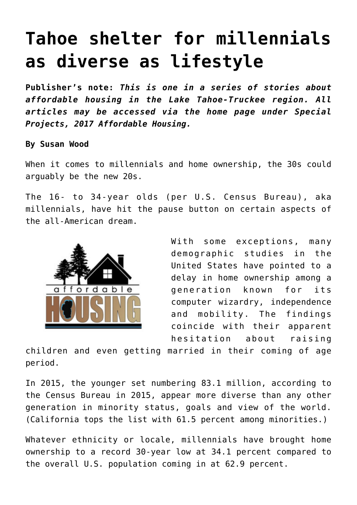# **[Tahoe shelter for millennials](https://www.laketahoenews.net/2017/03/tahoe-shelter-millennials-diverse-lifestyle/) [as diverse as lifestyle](https://www.laketahoenews.net/2017/03/tahoe-shelter-millennials-diverse-lifestyle/)**

**Publisher's note:** *This is one in a series of stories about affordable housing in the Lake Tahoe-Truckee region. All articles may be accessed via the home page under Special Projects, 2017 Affordable Housing.*

**By Susan Wood**

When it comes to millennials and home ownership, the 30s could arguably be the new 20s.

The 16- to 34-year olds (per U.S. Census Bureau), aka millennials, have hit the pause button on certain aspects of the all-American dream.



With some exceptions, many demographic studies in the United States have pointed to a delay in home ownership among a generation known for its computer wizardry, independence and mobility. The findings coincide with their apparent hesitation about raising

children and even getting married in their coming of age period.

In 2015, the younger set numbering 83.1 million, according to the Census Bureau in 2015, appear more diverse than any other generation in minority status, goals and view of the world. (California tops the list with 61.5 percent among minorities.)

Whatever ethnicity or locale, millennials have brought home ownership to a record 30-year low at 34.1 percent compared to the overall U.S. population coming in at 62.9 percent.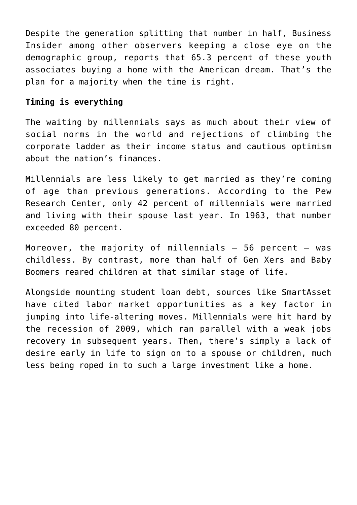Despite the generation splitting that number in half, Business Insider among other observers keeping a close eye on the demographic group, reports that 65.3 percent of these youth associates buying a home with the American dream. That's the plan for a majority when the time is right.

## **Timing is everything**

The waiting by millennials says as much about their view of social norms in the world and rejections of climbing the corporate ladder as their income status and cautious optimism about the nation's finances.

Millennials are less likely to get married as they're coming of age than previous generations. According to the Pew Research Center, only 42 percent of millennials were married and living with their spouse last year. In 1963, that number exceeded 80 percent.

Moreover, the majority of millennials  $-56$  percent  $-$  was childless. By contrast, more than half of Gen Xers and Baby Boomers reared children at that similar stage of life.

Alongside mounting student loan debt, sources like SmartAsset have cited labor market opportunities as a key factor in jumping into life-altering moves. Millennials were hit hard by the recession of 2009, which ran parallel with a weak jobs recovery in subsequent years. Then, there's simply a lack of desire early in life to sign on to a spouse or children, much less being roped in to such a large investment like a home.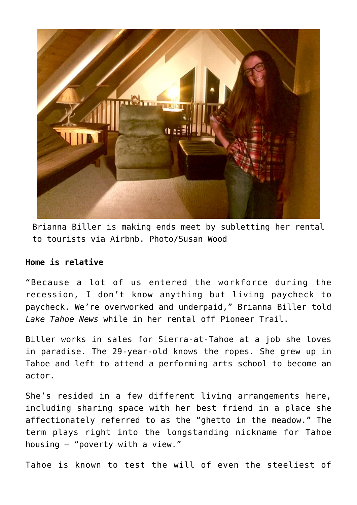

Brianna Biller is making ends meet by subletting her rental to tourists via Airbnb. Photo/Susan Wood

## **Home is relative**

"Because a lot of us entered the workforce during the recession, I don't know anything but living paycheck to paycheck. We're overworked and underpaid," Brianna Biller told *Lake Tahoe News* while in her rental off Pioneer Trail.

Biller works in sales for Sierra-at-Tahoe at a job she loves in paradise. The 29-year-old knows the ropes. She grew up in Tahoe and left to attend a performing arts school to become an actor.

She's resided in a few different living arrangements here, including sharing space with her best friend in a place she affectionately referred to as the "ghetto in the meadow." The term plays right into the longstanding nickname for Tahoe housing – "poverty with a view."

Tahoe is known to test the will of even the steeliest of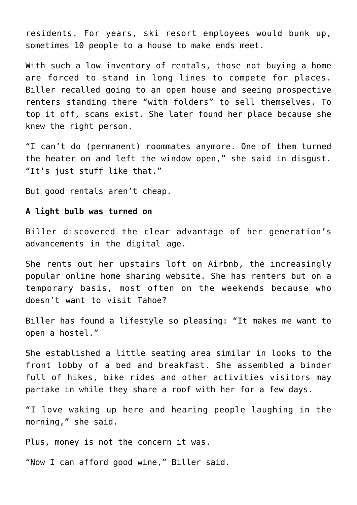residents. For years, ski resort employees would bunk up, sometimes 10 people to a house to make ends meet.

With such a low inventory of rentals, those not buying a home are forced to stand in long lines to compete for places. Biller recalled going to an open house and seeing prospective renters standing there "with folders" to sell themselves. To top it off, scams exist. She later found her place because she knew the right person.

"I can't do (permanent) roommates anymore. One of them turned the heater on and left the window open," she said in disgust. "It's just stuff like that."

But good rentals aren't cheap.

#### **A light bulb was turned on**

Biller discovered the clear advantage of her generation's advancements in the digital age.

She rents out her upstairs loft on Airbnb, the increasingly popular online home sharing website. She has renters but on a temporary basis, most often on the weekends because who doesn't want to visit Tahoe?

Biller has found a lifestyle so pleasing: "It makes me want to open a hostel."

She established a little seating area similar in looks to the front lobby of a bed and breakfast. She assembled a binder full of hikes, bike rides and other activities visitors may partake in while they share a roof with her for a few days.

"I love waking up here and hearing people laughing in the morning," she said.

Plus, money is not the concern it was.

"Now I can afford good wine," Biller said.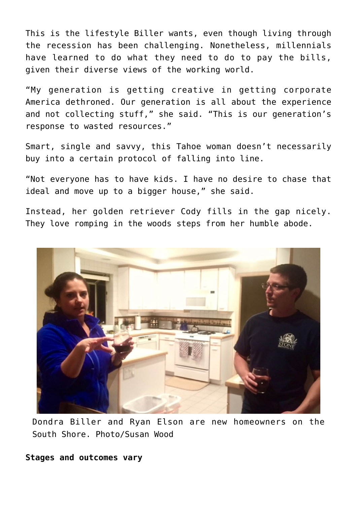This is the lifestyle Biller wants, even though living through the recession has been challenging. Nonetheless, millennials have learned to do what they need to do to pay the bills, given their diverse views of the working world.

"My generation is getting creative in getting corporate America dethroned. Our generation is all about the experience and not collecting stuff," she said. "This is our generation's response to wasted resources."

Smart, single and savvy, this Tahoe woman doesn't necessarily buy into a certain protocol of falling into line.

"Not everyone has to have kids. I have no desire to chase that ideal and move up to a bigger house," she said.

Instead, her golden retriever Cody fills in the gap nicely. They love romping in the woods steps from her humble abode.



Dondra Biller and Ryan Elson are new homeowners on the South Shore. Photo/Susan Wood

## **Stages and outcomes vary**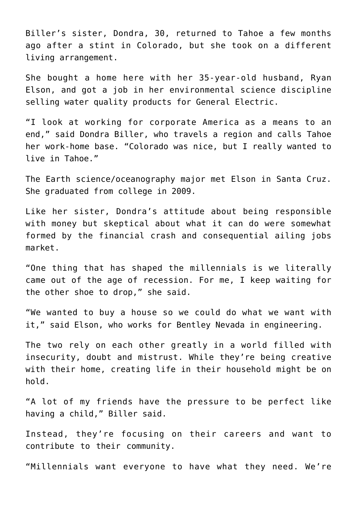Biller's sister, Dondra, 30, returned to Tahoe a few months ago after a stint in Colorado, but she took on a different living arrangement.

She bought a home here with her 35-year-old husband, Ryan Elson, and got a job in her environmental science discipline selling water quality products for General Electric.

"I look at working for corporate America as a means to an end," said Dondra Biller, who travels a region and calls Tahoe her work-home base. "Colorado was nice, but I really wanted to live in Tahoe."

The Earth science/oceanography major met Elson in Santa Cruz. She graduated from college in 2009.

Like her sister, Dondra's attitude about being responsible with money but skeptical about what it can do were somewhat formed by the financial crash and consequential ailing jobs market.

"One thing that has shaped the millennials is we literally came out of the age of recession. For me, I keep waiting for the other shoe to drop," she said.

"We wanted to buy a house so we could do what we want with it," said Elson, who works for Bentley Nevada in engineering.

The two rely on each other greatly in a world filled with insecurity, doubt and mistrust. While they're being creative with their home, creating life in their household might be on hold.

"A lot of my friends have the pressure to be perfect like having a child," Biller said.

Instead, they're focusing on their careers and want to contribute to their community.

"Millennials want everyone to have what they need. We're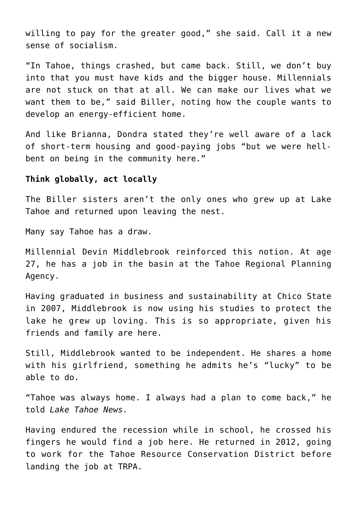willing to pay for the greater good," she said. Call it a new sense of socialism.

"In Tahoe, things crashed, but came back. Still, we don't buy into that you must have kids and the bigger house. Millennials are not stuck on that at all. We can make our lives what we want them to be," said Biller, noting how the couple wants to develop an energy-efficient home.

And like Brianna, Dondra stated they're well aware of a lack of short-term housing and good-paying jobs "but we were hellbent on being in the community here."

## **Think globally, act locally**

The Biller sisters aren't the only ones who grew up at Lake Tahoe and returned upon leaving the nest.

Many say Tahoe has a draw.

Millennial Devin Middlebrook reinforced this notion. At age 27, he has a job in the basin at the Tahoe Regional Planning Agency.

Having graduated in business and sustainability at Chico State in 2007, Middlebrook is now using his studies to protect the lake he grew up loving. This is so appropriate, given his friends and family are here.

Still, Middlebrook wanted to be independent. He shares a home with his girlfriend, something he admits he's "lucky" to be able to do.

"Tahoe was always home. I always had a plan to come back," he told *Lake Tahoe News.*

Having endured the recession while in school, he crossed his fingers he would find a job here. He returned in 2012, going to work for the Tahoe Resource Conservation District before landing the job at TRPA.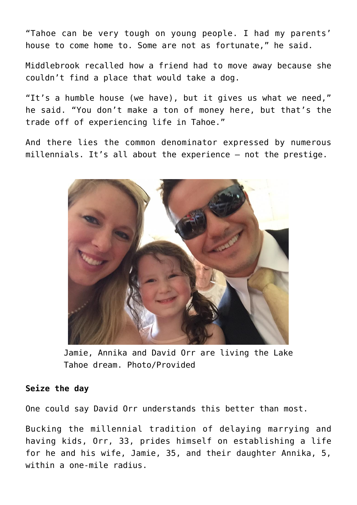"Tahoe can be very tough on young people. I had my parents' house to come home to. Some are not as fortunate," he said.

Middlebrook recalled how a friend had to move away because she couldn't find a place that would take a dog.

"It's a humble house (we have), but it gives us what we need," he said. "You don't make a ton of money here, but that's the trade off of experiencing life in Tahoe."

And there lies the common denominator expressed by numerous millennials. It's all about the experience – not the prestige.



Jamie, Annika and David Orr are living the Lake Tahoe dream. Photo/Provided

## **Seize the day**

One could say David Orr understands this better than most.

Bucking the millennial tradition of delaying marrying and having kids, Orr, 33, prides himself on establishing a life for he and his wife, Jamie, 35, and their daughter Annika, 5, within a one-mile radius.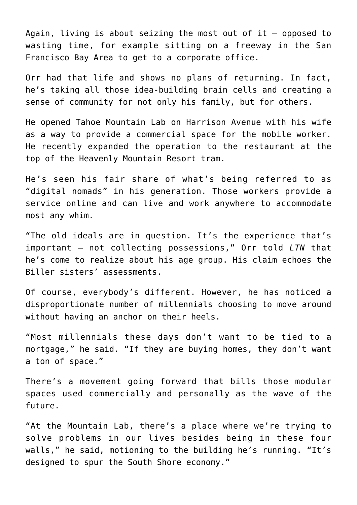Again, living is about seizing the most out of it  $-$  opposed to wasting time, for example sitting on a freeway in the San Francisco Bay Area to get to a corporate office.

Orr had that life and shows no plans of returning. In fact, he's taking all those idea-building brain cells and creating a sense of community for not only his family, but for others.

He opened Tahoe Mountain Lab on Harrison Avenue with his wife as a way to provide a commercial space for the mobile worker. He recently expanded the operation to the restaurant at the top of the Heavenly Mountain Resort tram.

He's seen his fair share of what's being referred to as "digital nomads" in his generation. Those workers provide a service online and can live and work anywhere to accommodate most any whim.

"The old ideals are in question. It's the experience that's important – not collecting possessions," Orr told *LTN* that he's come to realize about his age group. His claim echoes the Biller sisters' assessments.

Of course, everybody's different. However, he has noticed a disproportionate number of millennials choosing to move around without having an anchor on their heels.

"Most millennials these days don't want to be tied to a mortgage," he said. "If they are buying homes, they don't want a ton of space."

There's a movement going forward that bills those modular spaces used commercially and personally as the wave of the future.

"At the Mountain Lab, there's a place where we're trying to solve problems in our lives besides being in these four walls," he said, motioning to the building he's running. "It's designed to spur the South Shore economy."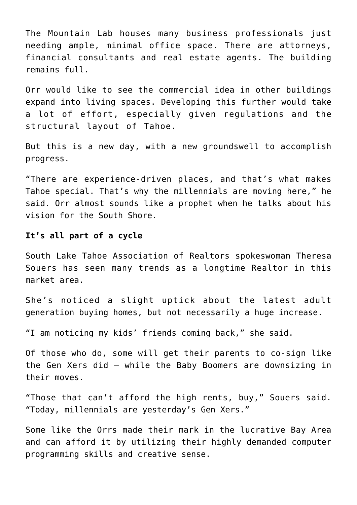The Mountain Lab houses many business professionals just needing ample, minimal office space. There are attorneys, financial consultants and real estate agents. The building remains full.

Orr would like to see the commercial idea in other buildings expand into living spaces. Developing this further would take a lot of effort, especially given regulations and the structural layout of Tahoe.

But this is a new day, with a new groundswell to accomplish progress.

"There are experience-driven places, and that's what makes Tahoe special. That's why the millennials are moving here," he said. Orr almost sounds like a prophet when he talks about his vision for the South Shore.

# **It's all part of a cycle**

South Lake Tahoe Association of Realtors spokeswoman Theresa Souers has seen many trends as a longtime Realtor in this market area.

She's noticed a slight uptick about the latest adult generation buying homes, but not necessarily a huge increase.

"I am noticing my kids' friends coming back," she said.

Of those who do, some will get their parents to co-sign like the Gen Xers did – while the Baby Boomers are downsizing in their moves.

"Those that can't afford the high rents, buy," Souers said. "Today, millennials are yesterday's Gen Xers."

Some like the Orrs made their mark in the lucrative Bay Area and can afford it by utilizing their highly demanded computer programming skills and creative sense.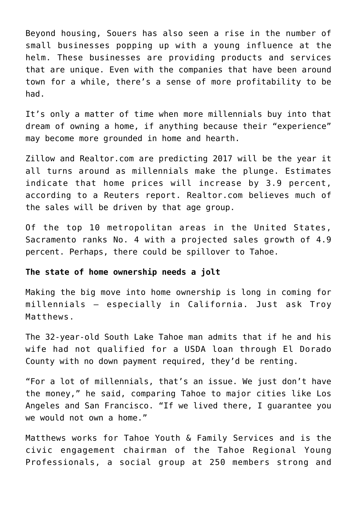Beyond housing, Souers has also seen a rise in the number of small businesses popping up with a young influence at the helm. These businesses are providing products and services that are unique. Even with the companies that have been around town for a while, there's a sense of more profitability to be had.

It's only a matter of time when more millennials buy into that dream of owning a home, if anything because their "experience" may become more grounded in home and hearth.

Zillow and Realtor.com are predicting 2017 will be the year it all turns around as millennials make the plunge. Estimates indicate that home prices will increase by 3.9 percent, according to a Reuters report. Realtor.com believes much of the sales will be driven by that age group.

Of the top 10 metropolitan areas in the United States, Sacramento ranks No. 4 with a projected sales growth of 4.9 percent. Perhaps, there could be spillover to Tahoe.

#### **The state of home ownership needs a jolt**

Making the big move into home ownership is long in coming for millennials – especially in California. Just ask Troy Matthews.

The 32-year-old South Lake Tahoe man admits that if he and his wife had not qualified for a USDA loan through El Dorado County with no down payment required, they'd be renting.

"For a lot of millennials, that's an issue. We just don't have the money," he said, comparing Tahoe to major cities like Los Angeles and San Francisco. "If we lived there, I guarantee you we would not own a home."

Matthews works for Tahoe Youth & Family Services and is the civic engagement chairman of the Tahoe Regional Young Professionals, a social group at 250 members strong and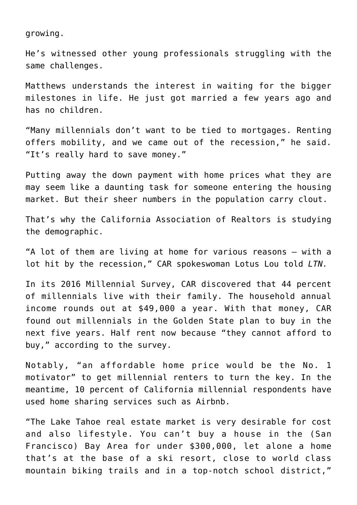growing.

He's witnessed other young professionals struggling with the same challenges.

Matthews understands the interest in waiting for the bigger milestones in life. He just got married a few years ago and has no children.

"Many millennials don't want to be tied to mortgages. Renting offers mobility, and we came out of the recession," he said. "It's really hard to save money."

Putting away the down payment with home prices what they are may seem like a daunting task for someone entering the housing market. But their sheer numbers in the population carry clout.

That's why the California Association of Realtors is studying the demographic.

"A lot of them are living at home for various reasons – with a lot hit by the recession," CAR spokeswoman Lotus Lou told *LTN.*

In its 2016 Millennial Survey, CAR discovered that 44 percent of millennials live with their family. The household annual income rounds out at \$49,000 a year. With that money, CAR found out millennials in the Golden State plan to buy in the next five years. Half rent now because "they cannot afford to buy," according to the survey.

Notably, "an affordable home price would be the No. 1 motivator" to get millennial renters to turn the key. In the meantime, 10 percent of California millennial respondents have used home sharing services such as Airbnb.

"The Lake Tahoe real estate market is very desirable for cost and also lifestyle. You can't buy a house in the (San Francisco) Bay Area for under \$300,000, let alone a home that's at the base of a ski resort, close to world class mountain biking trails and in a top-notch school district,"